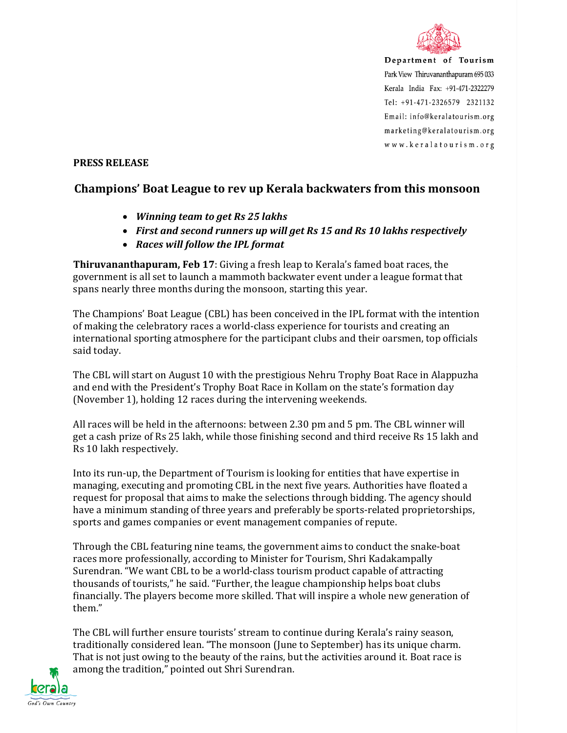

Department of Tourism Park View Thiruvananthapuram 695 033 Kerala India Fax: +91-471-2322279 Tel: +91-471-2326579 2321132 Email: info@keralatourism.org marketing@keralatourism.org www.keralatourism.org

## **PRESS RELEASE**

## **Champions' Boat League to rev up Kerala backwaters from this monsoon**

- *Winning team to get Rs 25 lakhs*
- *First and second runners up will get Rs 15 and Rs 10 lakhs respectively*
- *Races will follow the IPL format*

**Thiruvananthapuram, Feb 17**: Giving a fresh leap to Kerala's famed boat races, the government is all set to launch a mammoth backwater event under a league format that spans nearly three months during the monsoon, starting this year.

The Champions' Boat League (CBL) has been conceived in the IPL format with the intention of making the celebratory races a world-class experience for tourists and creating an international sporting atmosphere for the participant clubs and their oarsmen, top officials said today.

The CBL will start on August 10 with the prestigious Nehru Trophy Boat Race in Alappuzha and end with the President's Trophy Boat Race in Kollam on the state's formation day (November 1), holding 12 races during the intervening weekends.

All races will be held in the afternoons: between 2.30 pm and 5 pm. The CBL winner will get a cash prize of Rs 25 lakh, while those finishing second and third receive Rs 15 lakh and Rs 10 lakh respectively.

Into its run-up, the Department of Tourism is looking for entities that have expertise in managing, executing and promoting CBL in the next five years. Authorities have floated a request for proposal that aims to make the selections through bidding. The agency should have a minimum standing of three years and preferably be sports-related proprietorships, sports and games companies or event management companies of repute.

Through the CBL featuring nine teams, the government aims to conduct the snake-boat races more professionally, according to Minister for Tourism, Shri Kadakampally Surendran. "We want CBL to be a world-class tourism product capable of attracting thousands of tourists," he said. "Further, the league championship helps boat clubs financially. The players become more skilled. That will inspire a whole new generation of them."

The CBL will further ensure tourists' stream to continue during Kerala's rainy season, traditionally considered lean. "The monsoon (June to September) has its unique charm. That is not just owing to the beauty of the rains, but the activities around it. Boat race is among the tradition," pointed out Shri Surendran.